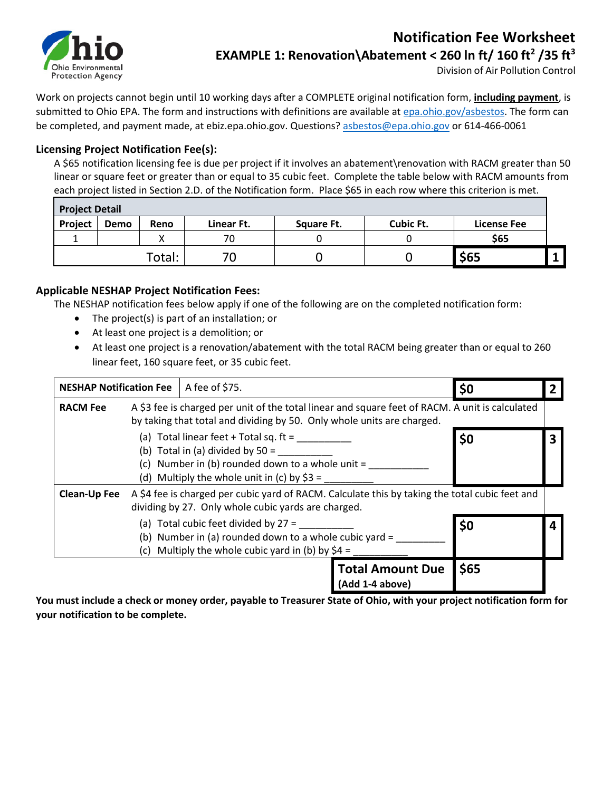

## **Notification Fee Worksheet EXAMPLE 1: Renovation\Abatement < 260 ln ft/ 160 ft2 /35 ft3**

Division of Air Pollution Control

Work on projects cannot begin until 10 working days after a COMPLETE original notification form, **including payment**, is submitted to Ohio EPA. The form and instructions with definitions are available a[t epa.ohio.gov/asbestos.](http://epa.ohio.gov/asbestos) The form can be completed, and payment made, at ebiz.epa.ohio.gov. Questions? [asbestos@epa.ohio.gov](mailto:asbestos@epa.ohio.gov) or 614-466-0061

#### **Licensing Project Notification Fee(s):**

A \$65 notification licensing fee is due per project if it involves an abatement\renovation with RACM greater than 50 linear or square feet or greater than or equal to 35 cubic feet. Complete the table below with RACM amounts from each project listed in Section 2.D. of the Notification form. Place \$65 in each row where this criterion is met.

| <b>Project Detail</b> |      |        |            |            |                  |                    |  |
|-----------------------|------|--------|------------|------------|------------------|--------------------|--|
| Project               | Demo | Reno   | Linear Ft. | Square Ft. | <b>Cubic Ft.</b> | <b>License Fee</b> |  |
|                       |      |        | 70         |            |                  | \$65               |  |
|                       |      | Total: |            |            |                  | \$65               |  |

#### **Applicable NESHAP Project Notification Fees:**

The NESHAP notification fees below apply if one of the following are on the completed notification form:

- The project(s) is part of an installation; or
- At least one project is a demolition; or
- At least one project is a renovation/abatement with the total RACM being greater than or equal to 260 linear feet, 160 square feet, or 35 cubic feet.

| <b>NESHAP Notification Fee</b> |                                                                                                                                                                           | A fee of \$75.                                                                                                                                                                       |                                            | \$0  |  |
|--------------------------------|---------------------------------------------------------------------------------------------------------------------------------------------------------------------------|--------------------------------------------------------------------------------------------------------------------------------------------------------------------------------------|--------------------------------------------|------|--|
| <b>RACM Fee</b>                | A \$3 fee is charged per unit of the total linear and square feet of RACM. A unit is calculated<br>by taking that total and dividing by 50. Only whole units are charged. |                                                                                                                                                                                      |                                            |      |  |
|                                |                                                                                                                                                                           | (a) Total linear feet $+$ Total sq. ft =<br>(b) Total in (a) divided by $50 =$<br>(c) Number in (b) rounded down to a whole unit $=$<br>(d) Multiply the whole unit in (c) by $$3 =$ |                                            |      |  |
| <b>Clean-Up Fee</b>            | dividing by 27. Only whole cubic yards are charged.                                                                                                                       | A \$4 fee is charged per cubic yard of RACM. Calculate this by taking the total cubic feet and                                                                                       |                                            |      |  |
|                                | (a) Total cubic feet divided by $27 =$<br>(b) Number in (a) rounded down to a whole cubic yard =<br>(c) Multiply the whole cubic yard in (b) by $$4 =$                    |                                                                                                                                                                                      |                                            | \$0  |  |
|                                |                                                                                                                                                                           |                                                                                                                                                                                      | <b>Total Amount Due</b><br>(Add 1-4 above) | \$65 |  |

**You must include a check or money order, payable to Treasurer State of Ohio, with your project notification form for your notification to be complete.**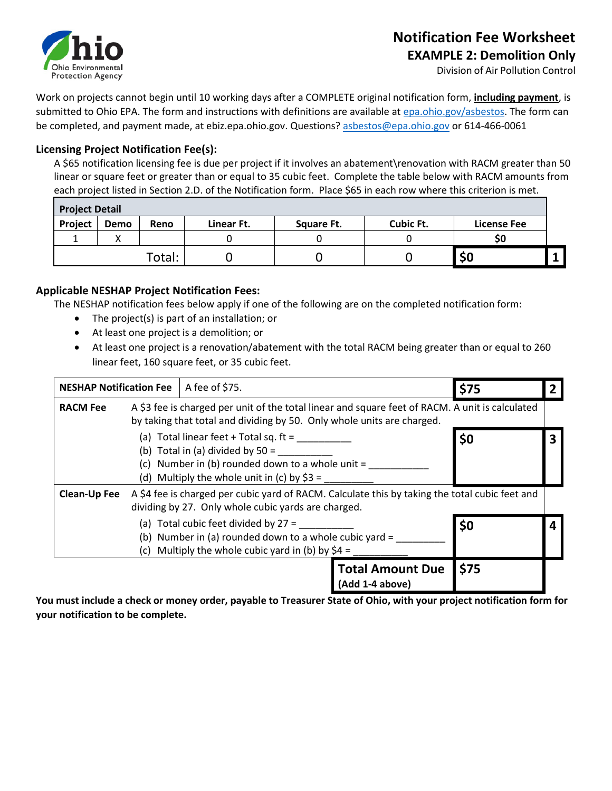

# **Notification Fee Worksheet**

**EXAMPLE 2: Demolition Only** 

Division of Air Pollution Control

Work on projects cannot begin until 10 working days after a COMPLETE original notification form, **including payment**, is submitted to Ohio EPA. The form and instructions with definitions are available a[t epa.ohio.gov/asbestos.](http://epa.ohio.gov/asbestos) The form can be completed, and payment made, at ebiz.epa.ohio.gov. Questions? [asbestos@epa.ohio.gov](mailto:asbestos@epa.ohio.gov) or 614-466-0061

#### **Licensing Project Notification Fee(s):**

A \$65 notification licensing fee is due per project if it involves an abatement\renovation with RACM greater than 50 linear or square feet or greater than or equal to 35 cubic feet. Complete the table below with RACM amounts from each project listed in Section 2.D. of the Notification form. Place \$65 in each row where this criterion is met.

| <b>Project Detail</b> |      |        |            |            |                  |                    |  |
|-----------------------|------|--------|------------|------------|------------------|--------------------|--|
| Project               | Demo | Reno   | Linear Ft. | Square Ft. | <b>Cubic Ft.</b> | <b>License Fee</b> |  |
|                       |      |        |            |            |                  | SO                 |  |
|                       |      | Total: |            |            |                  | \$0                |  |

#### **Applicable NESHAP Project Notification Fees:**

The NESHAP notification fees below apply if one of the following are on the completed notification form:

- The project(s) is part of an installation; or
- At least one project is a demolition; or
- At least one project is a renovation/abatement with the total RACM being greater than or equal to 260 linear feet, 160 square feet, or 35 cubic feet.

| <b>NESHAP Notification Fee</b> |                                                                                                                                                                           | A fee of \$75.                                                                                                                                                                       |                                            | \$75 |  |
|--------------------------------|---------------------------------------------------------------------------------------------------------------------------------------------------------------------------|--------------------------------------------------------------------------------------------------------------------------------------------------------------------------------------|--------------------------------------------|------|--|
| <b>RACM Fee</b>                | A \$3 fee is charged per unit of the total linear and square feet of RACM. A unit is calculated<br>by taking that total and dividing by 50. Only whole units are charged. |                                                                                                                                                                                      |                                            |      |  |
|                                |                                                                                                                                                                           | (a) Total linear feet $+$ Total sq. ft =<br>(b) Total in (a) divided by $50 =$<br>(c) Number in (b) rounded down to a whole unit $=$<br>(d) Multiply the whole unit in (c) by $$3 =$ |                                            |      |  |
| <b>Clean-Up Fee</b>            | dividing by 27. Only whole cubic yards are charged.                                                                                                                       | A \$4 fee is charged per cubic yard of RACM. Calculate this by taking the total cubic feet and                                                                                       |                                            |      |  |
|                                | (a) Total cubic feet divided by $27 =$<br>(b) Number in (a) rounded down to a whole cubic yard =<br>(c) Multiply the whole cubic yard in (b) by $$4 =$                    |                                                                                                                                                                                      |                                            | \$0  |  |
|                                |                                                                                                                                                                           |                                                                                                                                                                                      | <b>Total Amount Due</b><br>(Add 1-4 above) | \$75 |  |

**You must include a check or money order, payable to Treasurer State of Ohio, with your project notification form for your notification to be complete.**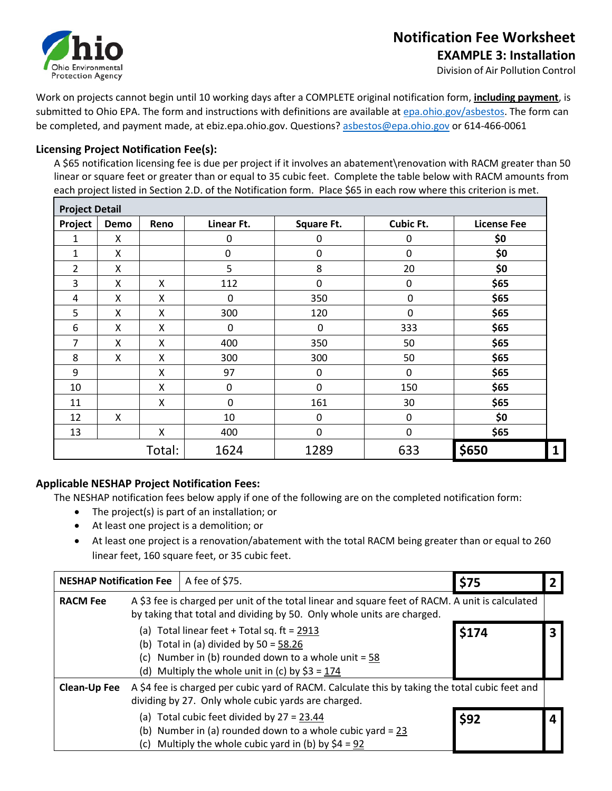

Division of Air Pollution Control

Work on projects cannot begin until 10 working days after a COMPLETE original notification form, **including payment**, is submitted to Ohio EPA. The form and instructions with definitions are available a[t epa.ohio.gov/asbestos.](http://epa.ohio.gov/asbestos) The form can be completed, and payment made, at ebiz.epa.ohio.gov. Questions? [asbestos@epa.ohio.gov](mailto:asbestos@epa.ohio.gov) or 614-466-0061

#### **Licensing Project Notification Fee(s):**

A \$65 notification licensing fee is due per project if it involves an abatement\renovation with RACM greater than 50 linear or square feet or greater than or equal to 35 cubic feet. Complete the table below with RACM amounts from each project listed in Section 2.D. of the Notification form. Place \$65 in each row where this criterion is met.

| <b>Project Detail</b> |      |        |                  |                   |                  |                    |
|-----------------------|------|--------|------------------|-------------------|------------------|--------------------|
| Project               | Demo | Reno   | Linear Ft.       | <b>Square Ft.</b> | <b>Cubic Ft.</b> | <b>License Fee</b> |
| 1                     | Χ    |        | 0                | $\mathbf 0$       | $\mathbf 0$      | \$0                |
| 1                     | X    |        | $\boldsymbol{0}$ | $\mathbf 0$       | $\mathbf 0$      | \$0                |
| 2                     | X    |        | 5                | 8                 | 20               | \$0                |
| 3                     | X    | Χ      | 112              | $\mathbf 0$       | 0                | \$65               |
| 4                     | X    | X      | 0                | 350               | $\mathbf 0$      | \$65               |
| 5                     | X    | Χ      | 300              | 120               | $\Omega$         | \$65               |
| 6                     | Χ    | X      | 0                | 0                 | 333              | \$65               |
| 7                     | Χ    | Χ      | 400              | 350               | 50               | \$65               |
| 8                     | Χ    | Χ      | 300              | 300               | 50               | \$65               |
| 9                     |      | Χ      | 97               | 0                 | 0                | \$65               |
| 10                    |      | Χ      | $\mathbf 0$      | $\mathbf 0$       | 150              | \$65               |
| 11                    |      | X      | 0                | 161               | 30               | \$65               |
| 12                    | Χ    |        | 10               | 0                 | 0                | \$0                |
| 13                    |      | X      | 400              | $\mathbf 0$       | 0                | \$65               |
|                       |      | Total: | 1624             | 1289              | 633              | \$650              |

#### **Applicable NESHAP Project Notification Fees:**

The NESHAP notification fees below apply if one of the following are on the completed notification form:

- The project(s) is part of an installation; or
- At least one project is a demolition; or
- At least one project is a renovation/abatement with the total RACM being greater than or equal to 260 linear feet, 160 square feet, or 35 cubic feet.

| <b>NESHAP Notification Fee</b> |                                                                                                                                                                         | A fee of \$75.                                                                                                                                                                                         | \$75 |  |
|--------------------------------|-------------------------------------------------------------------------------------------------------------------------------------------------------------------------|--------------------------------------------------------------------------------------------------------------------------------------------------------------------------------------------------------|------|--|
| <b>RACM Fee</b>                |                                                                                                                                                                         | A \$3 fee is charged per unit of the total linear and square feet of RACM. A unit is calculated<br>by taking that total and dividing by 50. Only whole units are charged.                              |      |  |
|                                |                                                                                                                                                                         | (a) Total linear feet + Total sq. ft = $2913$<br>(b) Total in (a) divided by $50 = 58.26$<br>(c) Number in (b) rounded down to a whole unit = $58$<br>(d) Multiply the whole unit in (c) by $$3 = 174$ |      |  |
| <b>Clean-Up Fee</b>            | A \$4 fee is charged per cubic yard of RACM. Calculate this by taking the total cubic feet and<br>dividing by 27. Only whole cubic yards are charged.                   |                                                                                                                                                                                                        |      |  |
|                                | (a) Total cubic feet divided by $27 = 23.44$<br>(b) Number in (a) rounded down to a whole cubic yard = $23$<br>Multiply the whole cubic yard in (b) by $$4 = 92$<br>(c) |                                                                                                                                                                                                        | \$92 |  |